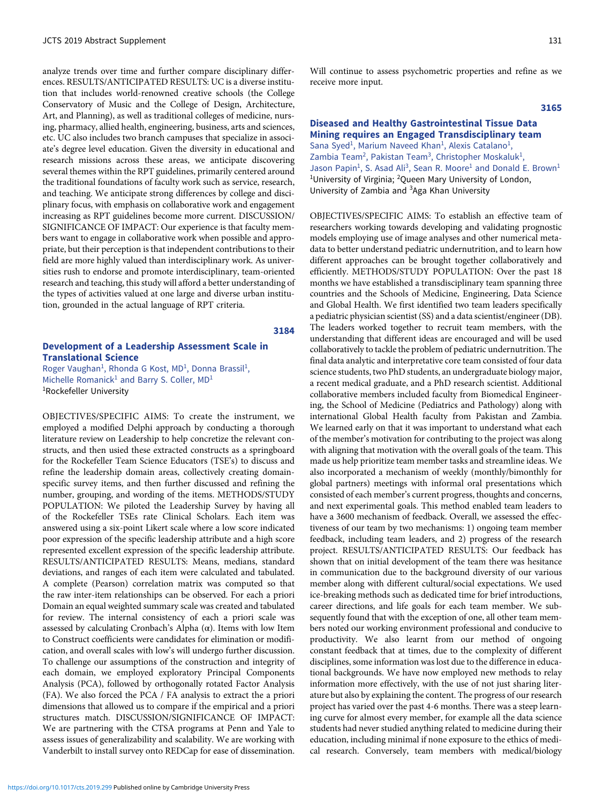analyze trends over time and further compare disciplinary differences. RESULTS/ANTICIPATED RESULTS: UC is a diverse institution that includes world-renowned creative schools (the College Conservatory of Music and the College of Design, Architecture, Art, and Planning), as well as traditional colleges of medicine, nursing, pharmacy, allied health, engineering, business, arts and sciences, etc. UC also includes two branch campuses that specialize in associate's degree level education. Given the diversity in educational and research missions across these areas, we anticipate discovering several themes within the RPT guidelines, primarily centered around the traditional foundations of faculty work such as service, research, and teaching. We anticipate strong differences by college and disciplinary focus, with emphasis on collaborative work and engagement increasing as RPT guidelines become more current. DISCUSSION/ SIGNIFICANCE OF IMPACT: Our experience is that faculty members want to engage in collaborative work when possible and appropriate, but their perception is that independent contributions to their field are more highly valued than interdisciplinary work. As universities rush to endorse and promote interdisciplinary, team-oriented research and teaching, this study will afford a better understanding of the types of activities valued at one large and diverse urban institution, grounded in the actual language of RPT criteria.

#### 3184

## Development of a Leadership Assessment Scale in Translational Science

Roger Vaughan<sup>1</sup>, Rhonda G Kost, MD<sup>1</sup>, Donna Brassil<sup>1</sup>, Michelle Romanick<sup>1</sup> and Barry S. Coller,  $MD<sup>1</sup>$ 1 Rockefeller University

OBJECTIVES/SPECIFIC AIMS: To create the instrument, we employed a modified Delphi approach by conducting a thorough literature review on Leadership to help concretize the relevant constructs, and then usied these extracted constructs as a springboard for the Rockefeller Team Science Educators (TSE's) to discuss and refine the leadership domain areas, collectively creating domainspecific survey items, and then further discussed and refining the number, grouping, and wording of the items. METHODS/STUDY POPULATION: We piloted the Leadership Survey by having all of the Rockefeller TSEs rate Clinical Scholars. Each item was answered using a six-point Likert scale where a low score indicated poor expression of the specific leadership attribute and a high score represented excellent expression of the specific leadership attribute. RESULTS/ANTICIPATED RESULTS: Means, medians, standard deviations, and ranges of each item were calculated and tabulated. A complete (Pearson) correlation matrix was computed so that the raw inter-item relationships can be observed. For each a priori Domain an equal weighted summary scale was created and tabulated for review. The internal consistency of each a priori scale was assessed by calculating Cronbach's Alpha (α). Items with low Item to Construct coefficients were candidates for elimination or modification, and overall scales with low's will undergo further discussion. To challenge our assumptions of the construction and integrity of each domain, we employed exploratory Principal Components Analysis (PCA), followed by orthogonally rotated Factor Analysis (FA). We also forced the PCA / FA analysis to extract the a priori dimensions that allowed us to compare if the empirical and a priori structures match. DISCUSSION/SIGNIFICANCE OF IMPACT: We are partnering with the CTSA programs at Penn and Yale to assess issues of generalizability and scalability. We are working with Vanderbilt to install survey onto REDCap for ease of dissemination.

Will continue to assess psychometric properties and refine as we receive more input.

3165

## Diseased and Healthy Gastrointestinal Tissue Data Mining requires an Engaged Transdisciplinary team Sana Syed<sup>1</sup>, Marium Naveed Khan<sup>1</sup>, Alexis Catalano<sup>1</sup>, Zambia Team<sup>2</sup>, Pakistan Team<sup>3</sup>, Christopher Moskaluk<sup>1</sup>, Jason Papin<sup>1</sup>, S. Asad Ali<sup>3</sup>, Sean R. Moore<sup>1</sup> and Donald E. Brown<sup>1</sup> <sup>1</sup>University of Virginia; <sup>2</sup>Queen Mary University of London, University of Zambia and <sup>3</sup>Aga Khan University

OBJECTIVES/SPECIFIC AIMS: To establish an effective team of researchers working towards developing and validating prognostic models employing use of image analyses and other numerical metadata to better understand pediatric undernutrition, and to learn how different approaches can be brought together collaboratively and efficiently. METHODS/STUDY POPULATION: Over the past 18 months we have established a transdisciplinary team spanning three countries and the Schools of Medicine, Engineering, Data Science and Global Health. We first identified two team leaders specifically a pediatric physician scientist (SS) and a data scientist/engineer (DB). The leaders worked together to recruit team members, with the understanding that different ideas are encouraged and will be used collaboratively to tackle the problem of pediatric undernutrition. The final data analytic and interpretative core team consisted of four data science students, two PhD students, an undergraduate biology major, a recent medical graduate, and a PhD research scientist. Additional collaborative members included faculty from Biomedical Engineering, the School of Medicine (Pediatrics and Pathology) along with international Global Health faculty from Pakistan and Zambia. We learned early on that it was important to understand what each of the member's motivation for contributing to the project was along with aligning that motivation with the overall goals of the team. This made us help prioritize team member tasks and streamline ideas. We also incorporated a mechanism of weekly (monthly/bimonthly for global partners) meetings with informal oral presentations which consisted of each member's current progress, thoughts and concerns, and next experimental goals. This method enabled team leaders to have a 3600 mechanism of feedback. Overall, we assessed the effectiveness of our team by two mechanisms: 1) ongoing team member feedback, including team leaders, and 2) progress of the research project. RESULTS/ANTICIPATED RESULTS: Our feedback has shown that on initial development of the team there was hesitance in communication due to the background diversity of our various member along with different cultural/social expectations. We used ice-breaking methods such as dedicated time for brief introductions, career directions, and life goals for each team member. We subsequently found that with the exception of one, all other team members noted our working environment professional and conducive to productivity. We also learnt from our method of ongoing constant feedback that at times, due to the complexity of different disciplines, some information was lost due to the difference in educational backgrounds. We have now employed new methods to relay information more effectively, with the use of not just sharing literature but also by explaining the content. The progress of our research project has varied over the past 4-6 months. There was a steep learning curve for almost every member, for example all the data science students had never studied anything related to medicine during their education, including minimal if none exposure to the ethics of medical research. Conversely, team members with medical/biology